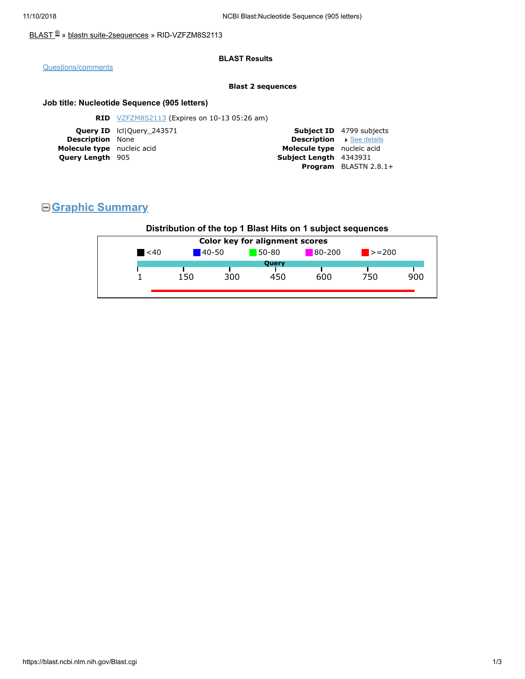### [BLAST](https://blast.ncbi.nlm.nih.gov/Blast.cgi) <sup>®</sup> » blastn [suite-2sequences](https://blast.ncbi.nlm.nih.gov/Blast.cgi?PAGE=MegaBlast&PROGRAM=blastn&PAGE_TYPE=BlastSearch&BLAST_SPEC=blast2seq) » RID-VZFZM8S2113

### **BLAST Results**

### [Questions/comments](https://support.nlm.nih.gov/knowledgebase/category/?id=CAT-01239)

#### **Blast 2 sequences**

### **Job title: Nucleotide Sequence (905 letters)**

|                                | <b>Subject ID</b> 4799 subjects |
|--------------------------------|---------------------------------|
| <b>Description</b> See details |                                 |
| Molecule type nucleic acid     |                                 |
| Subject Length 4343931         |                                 |
|                                | <b>Program</b> BLASTN $2.8.1+$  |
|                                |                                 |

# **Graphic Summary**

### **Distribution of the top 1 Blast Hits on 1 subject sequences**

| $80 - 200$<br>$\leq 40$<br>$50-80$<br>$140 - 50$<br>$\blacktriangleright$ = 200<br>Query<br>900<br>300<br>600<br>750<br>450<br>150 |  | <b>Color key for alignment scores</b> |  |  |
|------------------------------------------------------------------------------------------------------------------------------------|--|---------------------------------------|--|--|
|                                                                                                                                    |  |                                       |  |  |
|                                                                                                                                    |  |                                       |  |  |
|                                                                                                                                    |  |                                       |  |  |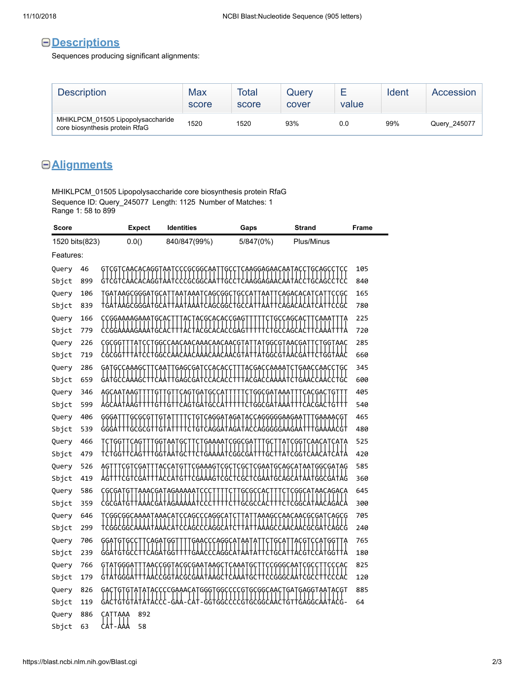## **Descriptions**

Sequences producing significant alignments:

| <b>Description</b>                                                  | Max<br>score | Total<br>score | Query<br>cover | value | Ident | Accession    |
|---------------------------------------------------------------------|--------------|----------------|----------------|-------|-------|--------------|
| MHIKLPCM 01505 Lipopolysaccharide<br>core biosynthesis protein RfaG | 1520         | 1520           | 93%            | 0.0   | 99%   | Query_245077 |

## **Alignments**

MHIKLPCM\_01505 Lipopolysaccharide core biosynthesis protein RfaG Sequence ID: Query\_245077 Length: 1125 Number of Matches: 1 Range 1: 58 to 899

| 0.0()<br>1520 bits(823)<br>840/847(99%)<br>5/847(0%)<br>Plus/Minus<br>Features:<br>105<br>46<br>Query<br>GCGGCAA<br>CAAGGAGAACAATAC<br>GCAGC<br>899<br>840<br>Sbjct<br>165<br>106<br>TGATAAGCGGGATGCATTAATAAATCAGCGGCTGCCATTAATTCAGACACATCATTCCGC<br>Query<br>tĠAtAAĠĊĠĠĠAtĠĊAttAAtAAAtĊAĠĊĠĠĊtĠĊĊAttAAttĊAĠAĊAĊAtĊAt<br>የናረረ<br>780<br>Sbjct<br>839<br>166<br>225<br>Query<br>CCGGAAAAGAAATGCA<br>ĢÇ<br>ÇAGCA<br>ႵႻჂႱჇႵႵ<br>779<br>720<br>Sbjct<br>285<br>226<br>Query<br><b>ĢĢÇÇAAÇAAÇAAAÇAAÇAAÇG</b> ]<br>·ϙϙϚϙϯϙϙϚϙϙϯ<br>ҁҿҁҿҿ <sub>+++</sub> ӌ+ҁҁ+ҿҿҁҁӯӯҁӯҭҁӯҭҁӯҭҁӯҭҁӯҭҁӌҭҁӋҭ+ӋӋҿҿҁҿӊӯҭҫҿӱӊ+<br>660<br>719<br>Sbjct<br>286<br>345<br>Query<br>GAGCGATCCACACC<br>              <br><b>ACGACCAAAATCTGAACCAACC</b><br>GATGCCAAAGC <sup>-</sup><br>YY++?Y????++??Y?FY+++Y??Y?FYYYY+7+?YY57YY?<br>659<br>600<br>Sbjct<br>405<br>346<br><b>CAGTGATGCCAT</b><br>TGGCGATAAAT<br>Query<br>AGCAATAAGT<br>G<br>TCACGACTGT<br>G<br>·&††cA&†&A†&ccA†††††<br>ttddddataattt:<br>`CACGACTGTTT<br>599<br>540<br>Sbjct<br>465<br>406<br>Query<br>·ϙϯϚϟϙϙϙϯϯϙϙϡϯϙϚϚϙϙϙϙϙϙϙϙϙϙϙ<br>GAAAACGT<br>ĢĢĢA<br>ĢÇĞÇĞ<br>Ģ<br>+G+cAGGA+AGA+AccAGGGGGAAGAA+++GAAAAcG+<br>539<br>480<br>Sbjct<br>G<br>525<br>466<br>Query<br>·ϙϙϙϙϙͳ<br>ÇGGÇGA<br>ÇGĢŢ<br>ĢĢŢ<br>Ģ<br>Ģ<br>┼ĠĠ┼┼Ҁϔᢡ╁┼╁ᢡᢡ┼ϒϭ╁┼Ϛ┼Ϩ╁ϨϒϓϓϨϨϨϨϨϨϓ┼╁┦╧Ҁ┼╁ϓ╁ϚϨϨϲͰϚϒϭϨϓϚϒϯϒͳ<br>420<br>479<br>Sbjct<br>585<br>526<br>Query<br>CGAAAGTCGCTCGCT<br><b>СGAATGCAGCATAATGGCGATAG</b><br>ACCATGI<br>catgttcgaaagtcgctcgctcgaatgcagcataatggcgatag<br>419<br>360<br>Sbjct<br>586<br>645<br>Query<br>AAACGATAGAAAAAT<br>CGGCATAACAGACA<br>CGCGATG<br>ÇÇC<br>ĢÇĢCCAC |
|------------------------------------------------------------------------------------------------------------------------------------------------------------------------------------------------------------------------------------------------------------------------------------------------------------------------------------------------------------------------------------------------------------------------------------------------------------------------------------------------------------------------------------------------------------------------------------------------------------------------------------------------------------------------------------------------------------------------------------------------------------------------------------------------------------------------------------------------------------------------------------------------------------------------------------------------------------------------------------------------------------------------------------------------------------------------------------------------------------------------------------------------------------------------------------------------------------------------------------------------------------------------------------------------------------------------------------------------------------------------------------------------------------------------------------------------------------------------------------------------------------------------------------------------------------------------------------------|
|                                                                                                                                                                                                                                                                                                                                                                                                                                                                                                                                                                                                                                                                                                                                                                                                                                                                                                                                                                                                                                                                                                                                                                                                                                                                                                                                                                                                                                                                                                                                                                                          |
|                                                                                                                                                                                                                                                                                                                                                                                                                                                                                                                                                                                                                                                                                                                                                                                                                                                                                                                                                                                                                                                                                                                                                                                                                                                                                                                                                                                                                                                                                                                                                                                          |
|                                                                                                                                                                                                                                                                                                                                                                                                                                                                                                                                                                                                                                                                                                                                                                                                                                                                                                                                                                                                                                                                                                                                                                                                                                                                                                                                                                                                                                                                                                                                                                                          |
|                                                                                                                                                                                                                                                                                                                                                                                                                                                                                                                                                                                                                                                                                                                                                                                                                                                                                                                                                                                                                                                                                                                                                                                                                                                                                                                                                                                                                                                                                                                                                                                          |
|                                                                                                                                                                                                                                                                                                                                                                                                                                                                                                                                                                                                                                                                                                                                                                                                                                                                                                                                                                                                                                                                                                                                                                                                                                                                                                                                                                                                                                                                                                                                                                                          |
|                                                                                                                                                                                                                                                                                                                                                                                                                                                                                                                                                                                                                                                                                                                                                                                                                                                                                                                                                                                                                                                                                                                                                                                                                                                                                                                                                                                                                                                                                                                                                                                          |
|                                                                                                                                                                                                                                                                                                                                                                                                                                                                                                                                                                                                                                                                                                                                                                                                                                                                                                                                                                                                                                                                                                                                                                                                                                                                                                                                                                                                                                                                                                                                                                                          |
|                                                                                                                                                                                                                                                                                                                                                                                                                                                                                                                                                                                                                                                                                                                                                                                                                                                                                                                                                                                                                                                                                                                                                                                                                                                                                                                                                                                                                                                                                                                                                                                          |
|                                                                                                                                                                                                                                                                                                                                                                                                                                                                                                                                                                                                                                                                                                                                                                                                                                                                                                                                                                                                                                                                                                                                                                                                                                                                                                                                                                                                                                                                                                                                                                                          |
|                                                                                                                                                                                                                                                                                                                                                                                                                                                                                                                                                                                                                                                                                                                                                                                                                                                                                                                                                                                                                                                                                                                                                                                                                                                                                                                                                                                                                                                                                                                                                                                          |
|                                                                                                                                                                                                                                                                                                                                                                                                                                                                                                                                                                                                                                                                                                                                                                                                                                                                                                                                                                                                                                                                                                                                                                                                                                                                                                                                                                                                                                                                                                                                                                                          |
|                                                                                                                                                                                                                                                                                                                                                                                                                                                                                                                                                                                                                                                                                                                                                                                                                                                                                                                                                                                                                                                                                                                                                                                                                                                                                                                                                                                                                                                                                                                                                                                          |
|                                                                                                                                                                                                                                                                                                                                                                                                                                                                                                                                                                                                                                                                                                                                                                                                                                                                                                                                                                                                                                                                                                                                                                                                                                                                                                                                                                                                                                                                                                                                                                                          |
|                                                                                                                                                                                                                                                                                                                                                                                                                                                                                                                                                                                                                                                                                                                                                                                                                                                                                                                                                                                                                                                                                                                                                                                                                                                                                                                                                                                                                                                                                                                                                                                          |
|                                                                                                                                                                                                                                                                                                                                                                                                                                                                                                                                                                                                                                                                                                                                                                                                                                                                                                                                                                                                                                                                                                                                                                                                                                                                                                                                                                                                                                                                                                                                                                                          |
|                                                                                                                                                                                                                                                                                                                                                                                                                                                                                                                                                                                                                                                                                                                                                                                                                                                                                                                                                                                                                                                                                                                                                                                                                                                                                                                                                                                                                                                                                                                                                                                          |
|                                                                                                                                                                                                                                                                                                                                                                                                                                                                                                                                                                                                                                                                                                                                                                                                                                                                                                                                                                                                                                                                                                                                                                                                                                                                                                                                                                                                                                                                                                                                                                                          |
|                                                                                                                                                                                                                                                                                                                                                                                                                                                                                                                                                                                                                                                                                                                                                                                                                                                                                                                                                                                                                                                                                                                                                                                                                                                                                                                                                                                                                                                                                                                                                                                          |
|                                                                                                                                                                                                                                                                                                                                                                                                                                                                                                                                                                                                                                                                                                                                                                                                                                                                                                                                                                                                                                                                                                                                                                                                                                                                                                                                                                                                                                                                                                                                                                                          |
|                                                                                                                                                                                                                                                                                                                                                                                                                                                                                                                                                                                                                                                                                                                                                                                                                                                                                                                                                                                                                                                                                                                                                                                                                                                                                                                                                                                                                                                                                                                                                                                          |
| 359<br>300<br>Sbjct                                                                                                                                                                                                                                                                                                                                                                                                                                                                                                                                                                                                                                                                                                                                                                                                                                                                                                                                                                                                                                                                                                                                                                                                                                                                                                                                                                                                                                                                                                                                                                      |
| 646<br>705<br>Query                                                                                                                                                                                                                                                                                                                                                                                                                                                                                                                                                                                                                                                                                                                                                                                                                                                                                                                                                                                                                                                                                                                                                                                                                                                                                                                                                                                                                                                                                                                                                                      |
| 299<br>240<br>Sbjct                                                                                                                                                                                                                                                                                                                                                                                                                                                                                                                                                                                                                                                                                                                                                                                                                                                                                                                                                                                                                                                                                                                                                                                                                                                                                                                                                                                                                                                                                                                                                                      |
| 765<br>706<br>Query<br>ĢĢĄŢ<br>GAACCCAGGCATAAT<br>ĢŢ<br>ĢĊĊ<br>CAGAT<br>ĢĢ<br>ĢÇĄ<br>AÇĢŢ<br>·ϚϚϟͳϘϘͳ                                                                                                                                                                                                                                                                                                                                                                                                                                                                                                                                                                                                                                                                                                                                                                                                                                                                                                                                                                                                                                                                                                                                                                                                                                                                                                                                                                                                                                                                                    |
| ┼┼と┧╘┦┼╒╚┼┼┼┼╒ヤ┑╾ҀҀҀ┰╹╏╏╏╏╁┦╁╿┼┦┼<br>GGATGTGCC<br>`CTGCATTACGTCCATGGTTA<br>239<br>180<br>Sbjct                                                                                                                                                                                                                                                                                                                                                                                                                                                                                                                                                                                                                                                                                                                                                                                                                                                                                                                                                                                                                                                                                                                                                                                                                                                                                                                                                                                                                                                                                           |
| 825<br>766<br>Query<br><u>AACCGGTACGCGAATAAGC</u><br>CGGGCAATCGCC<br>CAAAT<br>ĢÇ                                                                                                                                                                                                                                                                                                                                                                                                                                                                                                                                                                                                                                                                                                                                                                                                                                                                                                                                                                                                                                                                                                                                                                                                                                                                                                                                                                                                                                                                                                         |
| 179<br>120<br>Sbjct                                                                                                                                                                                                                                                                                                                                                                                                                                                                                                                                                                                                                                                                                                                                                                                                                                                                                                                                                                                                                                                                                                                                                                                                                                                                                                                                                                                                                                                                                                                                                                      |
| 885<br>826<br>Query<br>҄҃ӒҀҪҪҪҀѦӒѦҀӒҬҨ҃ӌ҄ҀӯҀҪҪҪҪҀҬӌ҄ҪӌӌҀѦѦҪҬӌѦҬӌ҄ѦҀӌ҄ҬѦӒҬѦҪӌ҄                                                                                                                                                                                                                                                                                                                                                                                                                                                                                                                                                                                                                                                                                                                                                                                                                                                                                                                                                                                                                                                                                                                                                                                                                                                                                                                                                                                                                                                                                                            |
| ᡶ <mark>᠘Ⴕ</mark> ╶ĠĠႵĠĠĊĊĊĊĠႵĠĊĠĠĊ <mark></mark><br>AA†ACG-<br>64<br>119<br>TTGAGGC<br>Sbjct                                                                                                                                                                                                                                                                                                                                                                                                                                                                                                                                                                                                                                                                                                                                                                                                                                                                                                                                                                                                                                                                                                                                                                                                                                                                                                                                                                                                                                                                                            |
| 892<br>886<br>Query<br>ÇAT<br>TAẠẠ<br>┟╽╂╶┟╽┧<br>58<br>Sbjct<br>63                                                                                                                                                                                                                                                                                                                                                                                                                                                                                                                                                                                                                                                                                                                                                                                                                                                                                                                                                                                                                                                                                                                                                                                                                                                                                                                                                                                                                                                                                                                       |